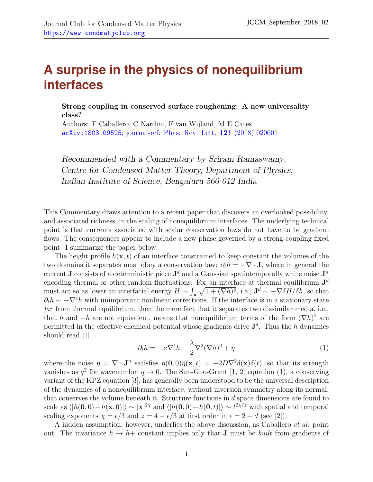## **A surprise in the physics of nonequilibrium interfaces**

Strong coupling in conserved surface roughening: A new universality class?

Authors: F Caballero, C Nardini, F van Wijland, M E Cates arXiv:1803.09525[; journal-ref: Phys. Rev. Lett.](https://arxiv.org/abs/1803.09525) 121 (2018) 020601

Recommended with a Commentary by Sriram Ramaswamy, Centre for Condensed Matter Theory, Department of Physics, Indian Institute of Science, Bengaluru 560 012 India

This Commentary draws attention to a recent paper that discovers an overlooked possibility, and associated richness, in the scaling of nonequilibrium interfaces. The underlying technical point is that currents associated with scalar conservation laws do not have to be gradient flows. The consequences appear to include a new phase governed by a strong-coupling fixed point. I summarize the paper below.

The height profile  $h(\mathbf{x}, t)$  of an interface constrained to keep constant the volumes of the two domains it separates must obey a conservation law:  $\partial_t h = -\nabla \cdot \mathbf{J}$ , where in general the current **J** consists of a deterministic piece  $J^d$  and a Gaussian spatiotemporally white noise  $J^n$ encoding thermal or other random fluctuations. For an interface at thermal equilibrium  $J<sup>d</sup>$ must act so as lower an interfacial energy  $H \sim \int_{\mathbf{x}} \sqrt{1 + (\nabla h)^2}$ , i.e.,  $\mathbf{J}^d \sim -\nabla \delta H/\delta h$ , so that  $\partial_t h \sim -\nabla^4 h$  with unimportant nonlinear corrections. If the interface is in a stationary state far from thermal equilibrium, then the mere fact that it separates two dissimilar media, i.e., that h and  $-h$  are not equivalent, means that nonequilibrium terms of the form  $(\nabla h)^2$  are permitted in the effective chemical potential whose gradients drive  $J<sup>d</sup>$ . Thus the h dynamics should read [\[1\]](#page-1-0)

<span id="page-0-0"></span>
$$
\partial_t h = -\nu \nabla^4 h - \frac{\lambda}{2} \nabla^2 (\nabla h)^2 + \eta \tag{1}
$$

where the noise  $\eta = \nabla \cdot \mathbf{J}^n$  satisfies  $\eta(\mathbf{0},0)\eta(\mathbf{x},t) = -2D\nabla^2 \delta(\mathbf{x})\delta(t)$ , so that its strength vanishes as  $q^2$  for wavenumber  $q \to 0$ . The Sun-Guo-Grant [\[1,](#page-1-0) [2\]](#page-1-1) equation [\(1\)](#page-0-0), a conserving variant of the KPZ equation [\[3\]](#page-1-2), has generally been understood to be the universal description of the dynamics of a nonequilibrium interface, without inversion symmetry along its normal, that conserves the volume beneath it. Structure functions in d space dimensions are found to scale as  $\langle h(0,0)-h(\mathbf{x},0)| \rangle \sim |\mathbf{x}|^{2\chi}$  and  $\langle h(0,0)-h(0,t)| \rangle \sim t^{2\chi/z}$  with spatial and temporal scaling exponents  $\chi = \epsilon/3$  and  $z = 4 - \epsilon/3$  at first order in  $\epsilon = 2 - d$  (see [\[2\]](#page-1-1)).

A hidden assumption, however, underlies the above discussion, as Caballero *et al.* point out. The invariance  $h \to h$ + constant implies only that **J** must be *built* from gradients of